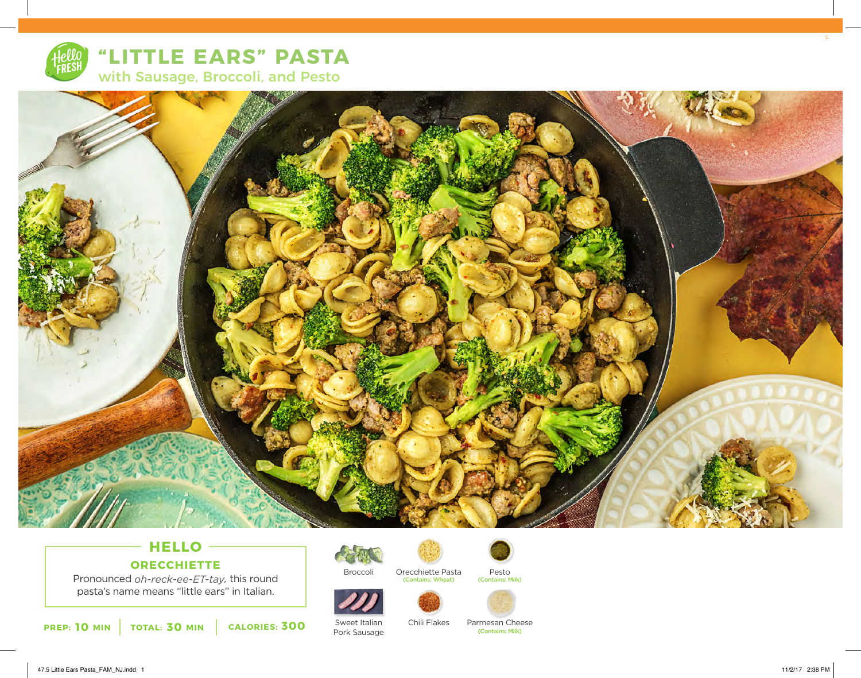

**"LITTLE EARS" PASTA** with Sausage, Broccoli, and Pesto



# **HELLO ORECCHIETTE**

Pronounced *oh-reck-ee-ET-tay,* this round pasta's name means "little ears" in Italian.

**10 MIN TOTAL: 30 MIN CALORIES: 300** SWeet Italian Chill Flakes Parmesan Chernal Chernal Contains: Milk)



Orecchiette Pasta (Contains: Wheat)



Sweet Italian Pork Sausage Chili Flakes



Parmesan Cheese<br> **Contains: Milk**)

Pesto<br>(Contains: Milk)